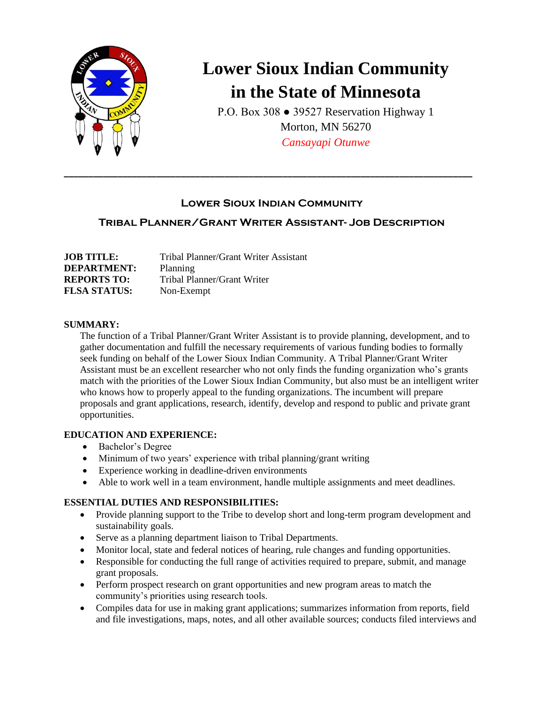

# **Lower Sioux Indian Community in the State of Minnesota**

P.O. Box 308 ● 39527 Reservation Highway 1 Morton, MN 56270 *Cansayapi Otunwe*

## **Lower Sioux Indian Community**

**\_\_\_\_\_\_\_\_\_\_\_\_\_\_\_\_\_\_\_\_\_\_\_\_\_\_\_\_\_\_\_\_\_\_\_\_\_\_\_\_\_\_\_\_\_\_\_\_\_\_\_\_\_\_\_\_\_\_\_\_\_\_\_\_\_\_\_\_\_\_\_\_\_\_\_\_\_\_\_\_\_\_\_\_**

# **Tribal Planner/Grant Writer Assistant- Job Description**

| <b>JOB TITLE:</b>   | Tribal Planner/Grant Writer Assistant |
|---------------------|---------------------------------------|
| <b>DEPARTMENT:</b>  | Planning                              |
| <b>REPORTS TO:</b>  | Tribal Planner/Grant Writer           |
| <b>FLSA STATUS:</b> | Non-Exempt                            |

#### **SUMMARY:**

The function of a Tribal Planner/Grant Writer Assistant is to provide planning, development, and to gather documentation and fulfill the necessary requirements of various funding bodies to formally seek funding on behalf of the Lower Sioux Indian Community. A Tribal Planner/Grant Writer Assistant must be an excellent researcher who not only finds the funding organization who's grants match with the priorities of the Lower Sioux Indian Community, but also must be an intelligent writer who knows how to properly appeal to the funding organizations. The incumbent will prepare proposals and grant applications, research, identify, develop and respond to public and private grant opportunities.

## **EDUCATION AND EXPERIENCE:**

- Bachelor's Degree
- Minimum of two years' experience with tribal planning/grant writing
- Experience working in deadline-driven environments
- Able to work well in a team environment, handle multiple assignments and meet deadlines.

## **ESSENTIAL DUTIES AND RESPONSIBILITIES:**

- Provide planning support to the Tribe to develop short and long-term program development and sustainability goals.
- Serve as a planning department liaison to Tribal Departments.
- Monitor local, state and federal notices of hearing, rule changes and funding opportunities.
- Responsible for conducting the full range of activities required to prepare, submit, and manage grant proposals.
- Perform prospect research on grant opportunities and new program areas to match the community's priorities using research tools.
- Compiles data for use in making grant applications; summarizes information from reports, field and file investigations, maps, notes, and all other available sources; conducts filed interviews and